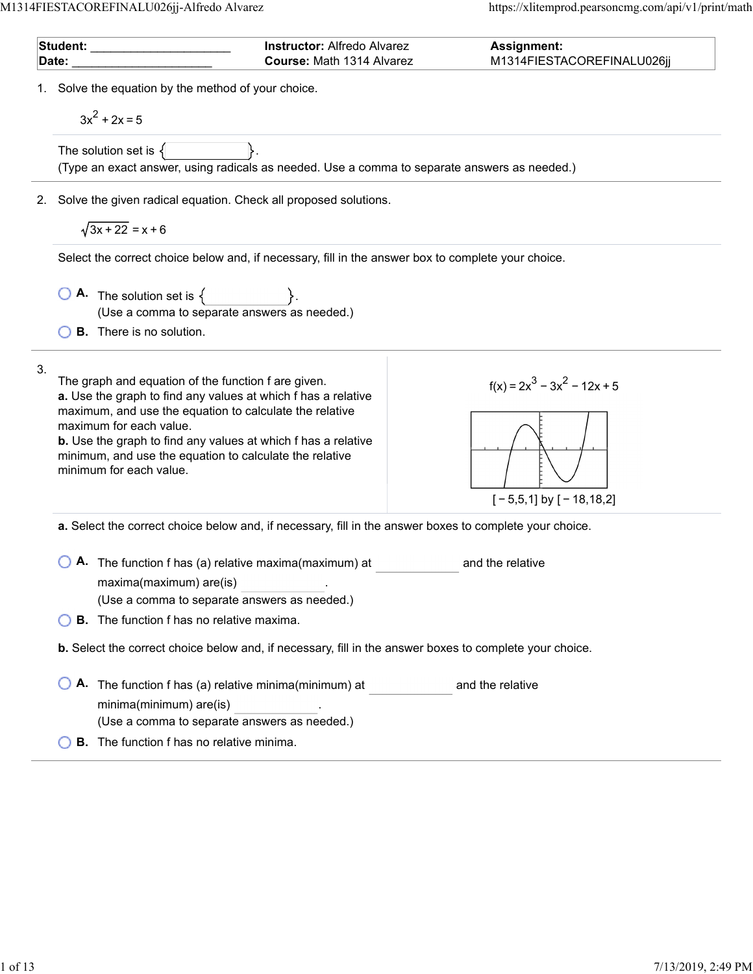$\overline{a}$ 

L.

| Student: <b>Student:</b> |                                                                                                                                                                                                                                                                                                                                                                          | <b>Instructor: Alfredo Alvarez</b> | Assignment:                                                                                             |
|--------------------------|--------------------------------------------------------------------------------------------------------------------------------------------------------------------------------------------------------------------------------------------------------------------------------------------------------------------------------------------------------------------------|------------------------------------|---------------------------------------------------------------------------------------------------------|
|                          | Date:                                                                                                                                                                                                                                                                                                                                                                    | Course: Math 1314 Alvarez          | M1314FIESTACOREFINALU026jj                                                                              |
|                          | 1. Solve the equation by the method of your choice.<br>$3x^2 + 2x = 5$                                                                                                                                                                                                                                                                                                   |                                    |                                                                                                         |
|                          | The solution set is $\{$                                                                                                                                                                                                                                                                                                                                                 |                                    | (Type an exact answer, using radicals as needed. Use a comma to separate answers as needed.)            |
|                          | 2. Solve the given radical equation. Check all proposed solutions.                                                                                                                                                                                                                                                                                                       |                                    |                                                                                                         |
|                          | $\sqrt{3x+22}$ = x + 6                                                                                                                                                                                                                                                                                                                                                   |                                    |                                                                                                         |
|                          | Select the correct choice below and, if necessary, fill in the answer box to complete your choice.                                                                                                                                                                                                                                                                       |                                    |                                                                                                         |
|                          | $\overline{O}$ <b>A</b> . The solution set is $\{$<br>(Use a comma to separate answers as needed.)                                                                                                                                                                                                                                                                       |                                    |                                                                                                         |
|                          | <b>B.</b> There is no solution.                                                                                                                                                                                                                                                                                                                                          |                                    |                                                                                                         |
| 3.                       | The graph and equation of the function f are given.<br>a. Use the graph to find any values at which f has a relative<br>maximum, and use the equation to calculate the relative<br>maximum for each value.<br><b>b.</b> Use the graph to find any values at which f has a relative<br>minimum, and use the equation to calculate the relative<br>minimum for each value. |                                    | $f(x) = 2x^3 - 3x^2 - 12x + 5$<br>$[-5,5,1]$ by $[-18,18,2]$                                            |
|                          |                                                                                                                                                                                                                                                                                                                                                                          |                                    | a. Select the correct choice below and, if necessary, fill in the answer boxes to complete your choice. |
|                          | A. The function f has (a) relative maxima(maximum) at<br>maxima(maximum) are(is)<br>(Use a comma to separate answers as needed.)                                                                                                                                                                                                                                         |                                    | and the relative                                                                                        |
|                          | <b>B.</b> The function f has no relative maxima.                                                                                                                                                                                                                                                                                                                         |                                    |                                                                                                         |
|                          |                                                                                                                                                                                                                                                                                                                                                                          |                                    | b. Select the correct choice below and, if necessary, fill in the answer boxes to complete your choice. |
|                          | A. The function f has (a) relative minima(minimum) at<br>minima(minimum) are(is)<br>(Use a comma to separate answers as needed.)                                                                                                                                                                                                                                         |                                    | and the relative                                                                                        |
|                          | <b>B.</b> The function f has no relative minima.                                                                                                                                                                                                                                                                                                                         |                                    |                                                                                                         |
|                          |                                                                                                                                                                                                                                                                                                                                                                          |                                    |                                                                                                         |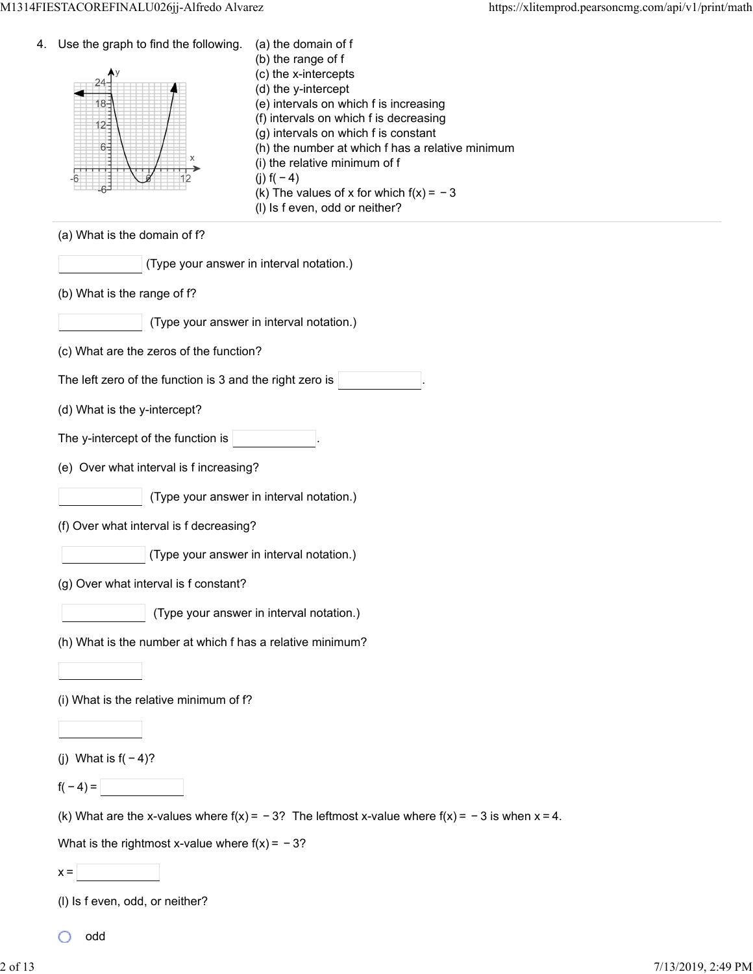| 4. | Use the graph to find the following.<br>18-<br>12-<br>6-<br>X | (a) the domain of f<br>(b) the range of f<br>(c) the x-intercepts<br>(d) the y-intercept<br>(e) intervals on which f is increasing<br>(f) intervals on which f is decreasing<br>(g) intervals on which f is constant<br>(h) the number at which f has a relative minimum<br>(i) the relative minimum of f<br>(j) $f(-4)$<br>(k) The values of x for which $f(x) = -3$<br>(I) Is f even, odd or neither? |
|----|---------------------------------------------------------------|---------------------------------------------------------------------------------------------------------------------------------------------------------------------------------------------------------------------------------------------------------------------------------------------------------------------------------------------------------------------------------------------------------|
|    | (a) What is the domain of f?                                  |                                                                                                                                                                                                                                                                                                                                                                                                         |
|    | (Type your answer in interval notation.)                      |                                                                                                                                                                                                                                                                                                                                                                                                         |
|    | (b) What is the range of f?                                   |                                                                                                                                                                                                                                                                                                                                                                                                         |
|    |                                                               | (Type your answer in interval notation.)                                                                                                                                                                                                                                                                                                                                                                |
|    | (c) What are the zeros of the function?                       |                                                                                                                                                                                                                                                                                                                                                                                                         |
|    | The left zero of the function is 3 and the right zero is      |                                                                                                                                                                                                                                                                                                                                                                                                         |
|    | (d) What is the y-intercept?                                  |                                                                                                                                                                                                                                                                                                                                                                                                         |
|    | The y-intercept of the function is                            |                                                                                                                                                                                                                                                                                                                                                                                                         |
|    | (e) Over what interval is f increasing?                       |                                                                                                                                                                                                                                                                                                                                                                                                         |
|    |                                                               | (Type your answer in interval notation.)                                                                                                                                                                                                                                                                                                                                                                |
|    | (f) Over what interval is f decreasing?                       |                                                                                                                                                                                                                                                                                                                                                                                                         |
|    |                                                               | (Type your answer in interval notation.)                                                                                                                                                                                                                                                                                                                                                                |
|    | (g) Over what interval is f constant?                         |                                                                                                                                                                                                                                                                                                                                                                                                         |
|    |                                                               | (Type your answer in interval notation.)                                                                                                                                                                                                                                                                                                                                                                |
|    | (h) What is the number at which f has a relative minimum?     |                                                                                                                                                                                                                                                                                                                                                                                                         |
|    |                                                               |                                                                                                                                                                                                                                                                                                                                                                                                         |
|    | (i) What is the relative minimum of f?                        |                                                                                                                                                                                                                                                                                                                                                                                                         |
|    |                                                               |                                                                                                                                                                                                                                                                                                                                                                                                         |
|    | (j) What is $f(-4)$ ?                                         |                                                                                                                                                                                                                                                                                                                                                                                                         |
|    | $f(-4) =$                                                     |                                                                                                                                                                                                                                                                                                                                                                                                         |
|    |                                                               | (k) What are the x-values where $f(x) = -3$ ? The leftmost x-value where $f(x) = -3$ is when $x = 4$ .                                                                                                                                                                                                                                                                                                  |
|    | What is the rightmost x-value where $f(x) = -3$ ?             |                                                                                                                                                                                                                                                                                                                                                                                                         |
|    | $x =$                                                         |                                                                                                                                                                                                                                                                                                                                                                                                         |
|    | (I) Is f even, odd, or neither?                               |                                                                                                                                                                                                                                                                                                                                                                                                         |

 $\circ$ 

odd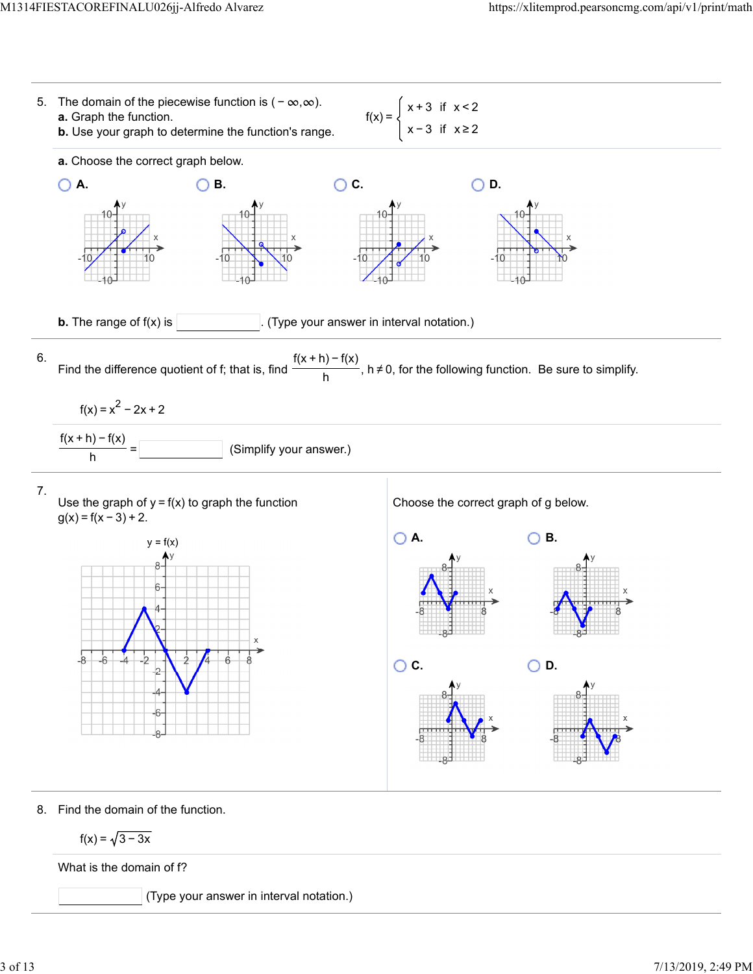

What is the domain of f?

(Type your answer in interval notation.)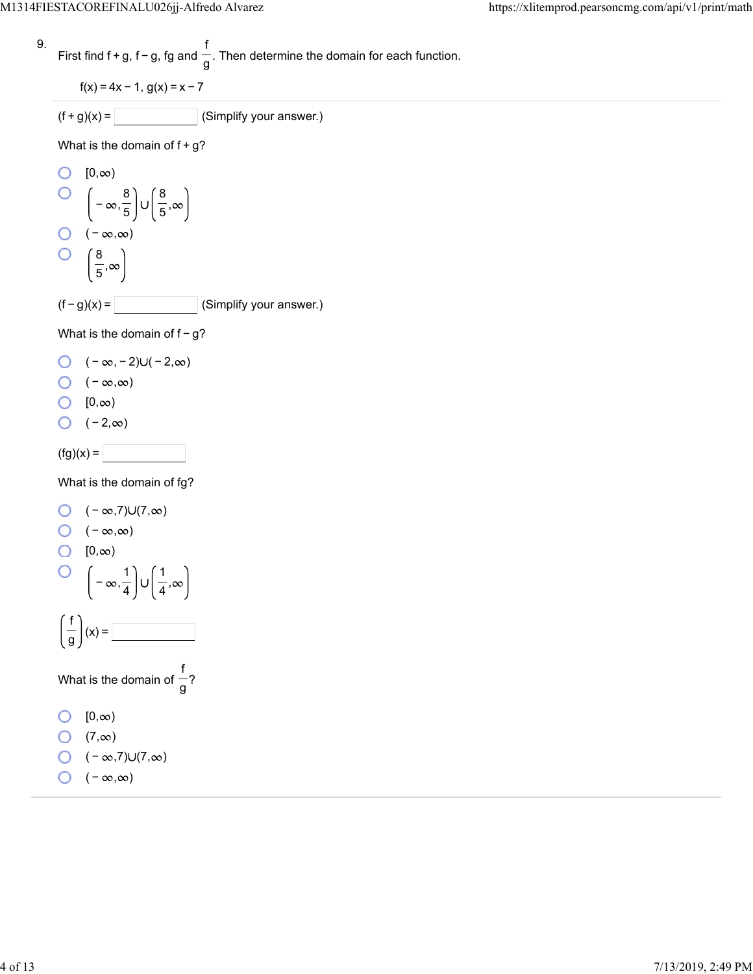9. First find 
$$
f + g
$$
,  $f - g$ ,  $fg$  and  $\frac{f}{g}$ . Then determine the domain for each function.

$$
f(x) = 4x - 1, g(x) = x - 7
$$
  
(f + g)(x) = (Simplify you

What is the domain of  $f+g$ ?

O [0,
$$
\infty
$$
)  
\n
$$
(-\infty, \frac{8}{5}) \cup (\frac{8}{5}, \infty)
$$
\nO (-∞, ∞)  
\nO  $(\frac{8}{5}, \infty)$   
\n(f - g)(x) = \_\_\_\_\_\_ (Simplify your answer.)

What is the domain of  $f-g$ ?

$$
\bigcirc \quad (-\infty, -2) \cup (-2, \infty)
$$

 $\bigcirc$  ( − ∞,∞)

$$
\bigcirc \quad [0,\infty)
$$

 $\bigcirc$  (-2, $\infty$ )

 $(fg)(x) =$ 

What is the domain of fg?

O 
$$
(-\infty,7)
$$
∪ $(7,\infty)$   
O  $(-\infty,\infty)$   
O  $[0,\infty)$   
O  $[-\infty,\frac{1}{4}] \cup (\frac{1}{4},\infty)$   
 $(\frac{f}{g})(x) =$ 

$$
\bigcirc (-\infty,7)\cup(7,\infty)
$$

 $\bigcirc$  ( − ∞,∞)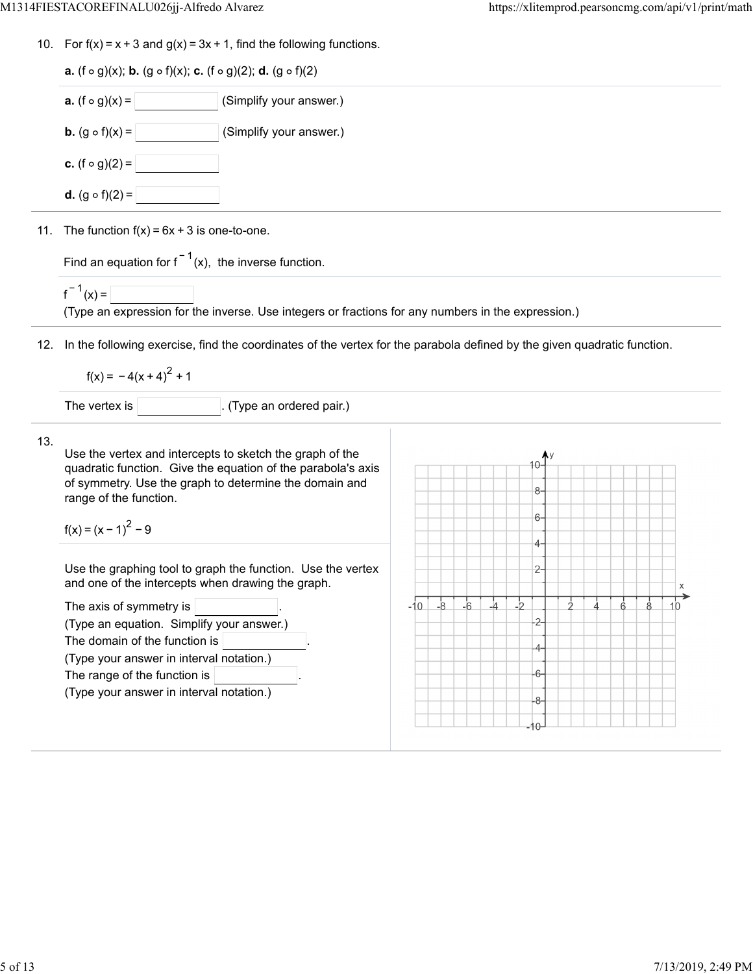| <b>a.</b> $(f \circ g)(x) =$<br>(Simplify your answer.)                                                                                                                                                                                                                                                                                                                       |                                                                                                                             |  |  |  |  |  |  |  |
|-------------------------------------------------------------------------------------------------------------------------------------------------------------------------------------------------------------------------------------------------------------------------------------------------------------------------------------------------------------------------------|-----------------------------------------------------------------------------------------------------------------------------|--|--|--|--|--|--|--|
| <b>b.</b> $(g \circ f)(x) =$<br>(Simplify your answer.)                                                                                                                                                                                                                                                                                                                       |                                                                                                                             |  |  |  |  |  |  |  |
| <b>c.</b> $(f \circ g)(2) =$                                                                                                                                                                                                                                                                                                                                                  |                                                                                                                             |  |  |  |  |  |  |  |
| <b>d.</b> $(g \circ f)(2) =$                                                                                                                                                                                                                                                                                                                                                  |                                                                                                                             |  |  |  |  |  |  |  |
| 11. The function $f(x) = 6x + 3$ is one-to-one.                                                                                                                                                                                                                                                                                                                               |                                                                                                                             |  |  |  |  |  |  |  |
| Find an equation for $f^{-1}(x)$ , the inverse function.                                                                                                                                                                                                                                                                                                                      |                                                                                                                             |  |  |  |  |  |  |  |
| $f^{-1}(x) =$<br>(Type an expression for the inverse. Use integers or fractions for any numbers in the expression.)                                                                                                                                                                                                                                                           |                                                                                                                             |  |  |  |  |  |  |  |
|                                                                                                                                                                                                                                                                                                                                                                               | 12. In the following exercise, find the coordinates of the vertex for the parabola defined by the given quadratic function. |  |  |  |  |  |  |  |
| $f(x) = -4(x + 4)^{2} + 1$                                                                                                                                                                                                                                                                                                                                                    |                                                                                                                             |  |  |  |  |  |  |  |
| The vertex is<br>(Type an ordered pair.)                                                                                                                                                                                                                                                                                                                                      |                                                                                                                             |  |  |  |  |  |  |  |
| 13.<br>Use the vertex and intercepts to sketch the graph of the<br>quadratic function. Give the equation of the parabola's axis<br>of symmetry. Use the graph to determine the domain and<br>range of the function.                                                                                                                                                           | 10-<br>8-                                                                                                                   |  |  |  |  |  |  |  |
| $f(x) = (x - 1)^{2} - 9$<br>Use the graphing tool to graph the function. Use the vertex<br>and one of the intercepts when drawing the graph.<br>The axis of symmetry is<br>(Type an equation. Simplify your answer.)<br>The domain of the function is<br>(Type your answer in interval notation.)<br>The range of the function is<br>(Type your answer in interval notation.) | $6-$<br>$4-$<br>$2-$<br>X<br>$\frac{1}{2}$<br>$-6$<br>$-4$<br>$-8$<br>$-10$<br>Ġ.<br>10<br>-6<br>-8-<br>-10-                |  |  |  |  |  |  |  |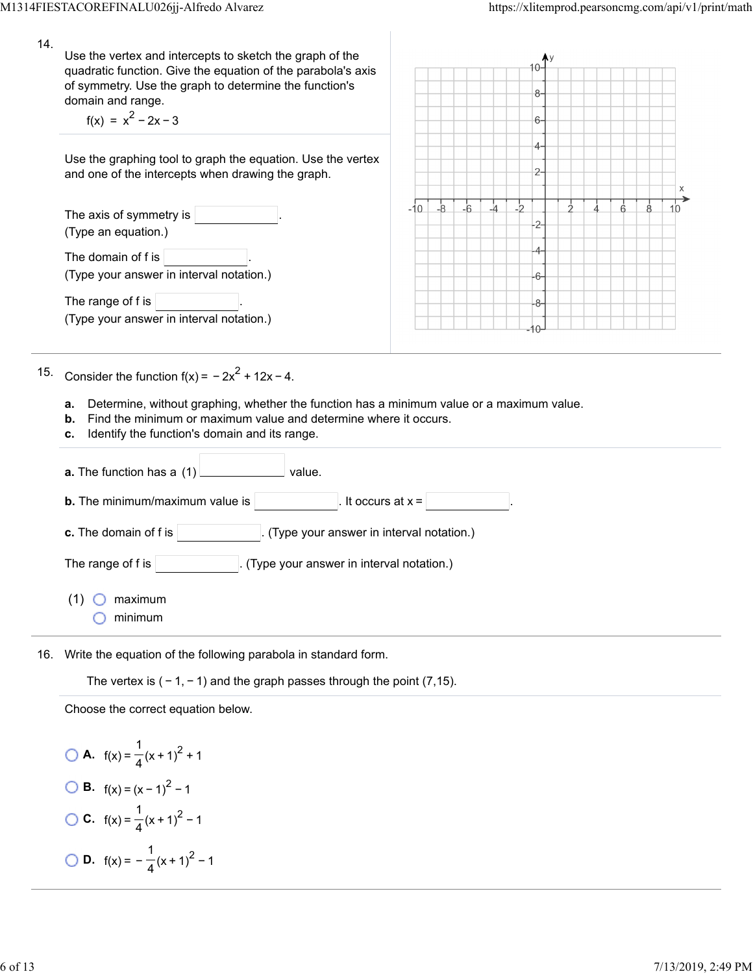| 14. | Use the vertex and intercepts to sketch the graph of the<br>quadratic function. Give the equation of the parabola's axis<br>of symmetry. Use the graph to determine the function's<br>domain and range.<br>$f(x) = x^2 - 2x - 3$ |       |      |      |               |               | $8-$<br>$6-$         |  |   |   |  |
|-----|----------------------------------------------------------------------------------------------------------------------------------------------------------------------------------------------------------------------------------|-------|------|------|---------------|---------------|----------------------|--|---|---|--|
|     | Use the graphing tool to graph the equation. Use the vertex<br>and one of the intercepts when drawing the graph.                                                                                                                 |       |      |      |               |               | 4-<br>$\overline{2}$ |  |   | X |  |
|     | The axis of symmetry is<br>(Type an equation.)                                                                                                                                                                                   | -10 L | $-8$ | $-6$ | $\frac{1}{4}$ | $\frac{1}{2}$ | $\overline{2}$<br>4. |  | á |   |  |
|     | The domain of f is<br>(Type your answer in interval notation.)                                                                                                                                                                   |       |      |      |               |               | 6                    |  |   |   |  |
|     | The range of f is<br>(Type your answer in interval notation.)                                                                                                                                                                    |       |      |      |               |               | 8                    |  |   |   |  |
| 15. | Consider the function $f(x) = -2x^2 + 12x - 4$ .                                                                                                                                                                                 |       |      |      |               |               |                      |  |   |   |  |
|     | Determine, without graphing, whether the function has a minimum value or a maximum value.<br>a.<br>Find the minimum or maximum value and determine where it occurs.<br>b.<br>Identify the function's domain and its range.<br>c. |       |      |      |               |               |                      |  |   |   |  |
|     | value.<br>a. The function has a (1)                                                                                                                                                                                              |       |      |      |               |               |                      |  |   |   |  |
|     | <b>b.</b> The minimum/maximum value is<br>It occurs at $x =$                                                                                                                                                                     |       |      |      |               |               |                      |  |   |   |  |
|     | c. The domain of f is<br>(Type your answer in interval notation.)                                                                                                                                                                |       |      |      |               |               |                      |  |   |   |  |
|     | (Type your answer in interval notation.)<br>The range of f is                                                                                                                                                                    |       |      |      |               |               |                      |  |   |   |  |
|     | maximum<br>(1)<br>minimum                                                                                                                                                                                                        |       |      |      |               |               |                      |  |   |   |  |
|     |                                                                                                                                                                                                                                  |       |      |      |               |               |                      |  |   |   |  |

16. Write the equation of the following parabola in standard form.

The vertex is  $(-1, -1)$  and the graph passes through the point (7,15).

Choose the correct equation below.

**Q A.** 
$$
f(x) = \frac{1}{4}(x+1)^2 + 1
$$
  
\n**Q B.**  $f(x) = (x-1)^2 - 1$   
\n**Q C.**  $f(x) = \frac{1}{4}(x+1)^2 - 1$   
\n**Q D.**  $f(x) = -\frac{1}{4}(x+1)^2 - 1$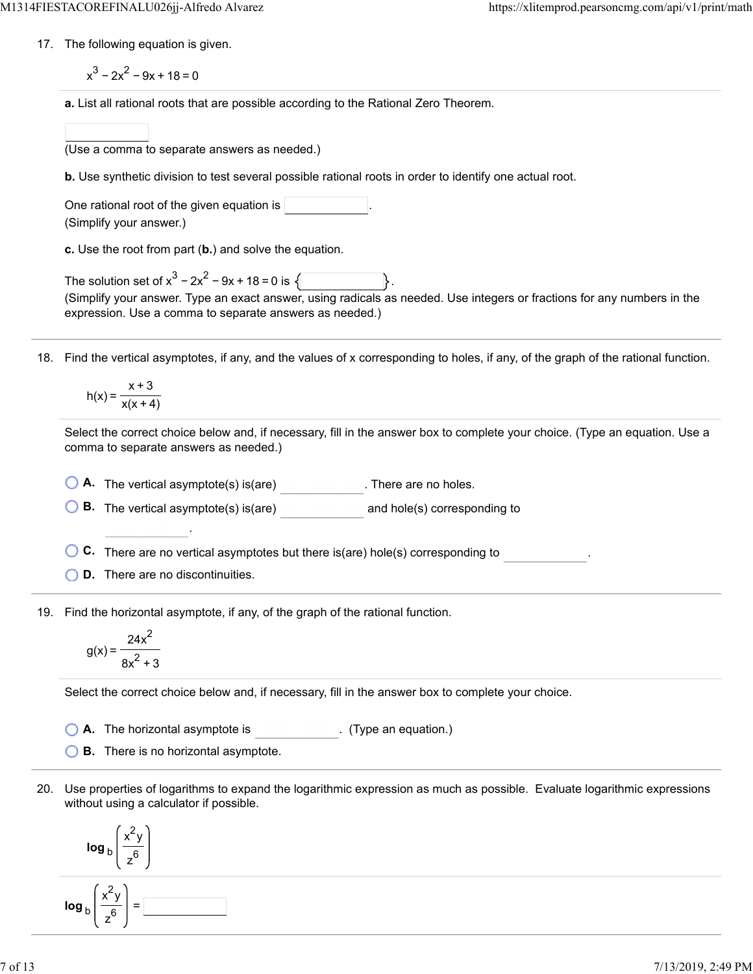17. The following equation is given.

 $x^3 - 2x^2 - 9x + 18 = 0$ 

**a.** List all rational roots that are possible according to the Rational Zero Theorem.

| (Use a comma to separate answers as needed.) |  |  |  |
|----------------------------------------------|--|--|--|
|                                              |  |  |  |

**b.** Use synthetic division to test several possible rational roots in order to identify one actual root.

| One rational root of the given equation is |  |
|--------------------------------------------|--|
| (Simplify your answer.)                    |  |

**c.** Use the root from part (**b.**) and solve the equation.

| The solution set of $x^3 - 2x^2 - 9x + 18 = 0$ is $\sqrt{ }$                                                            |  |  |
|-------------------------------------------------------------------------------------------------------------------------|--|--|
| (Simplify your answer. Type an exact answer, using radicals as needed. Use integers or fractions for any numbers in the |  |  |
| expression. Use a comma to separate answers as needed.)                                                                 |  |  |

18. Find the vertical asymptotes, if any, and the values of x corresponding to holes, if any, of the graph of the rational function.

$$
h(x) = \frac{x+3}{x(x+4)}
$$

Select the correct choice below and, if necessary, fill in the answer box to complete your choice. (Type an equation. Use a comma to separate answers as needed.)

**A.** The vertical asymptote(s) is(are) . There are no holes.

**B.** The vertical asymptote(s) is(are) and hole(s) corresponding to

**C.** There are no vertical asymptotes but there is(are) hole(s) corresponding to .

**D.** There are no discontinuities.

.

19. Find the horizontal asymptote, if any, of the graph of the rational function.

$$
g(x) = \frac{24x^2}{8x^2 + 3}
$$

Select the correct choice below and, if necessary, fill in the answer box to complete your choice.

**A.** The horizontal asymptote is . (Type an equation.)

**B.** There is no horizontal asymptote.

20. Use properties of logarithms to expand the logarithmic expression as much as possible. Evaluate logarithmic expressions without using a calculator if possible.

$$
\log_{b}\left(\frac{x^{2}y}{z^{6}}\right)
$$
\n
$$
\log_{b}\left(\frac{x^{2}y}{z^{6}}\right) = \boxed{}
$$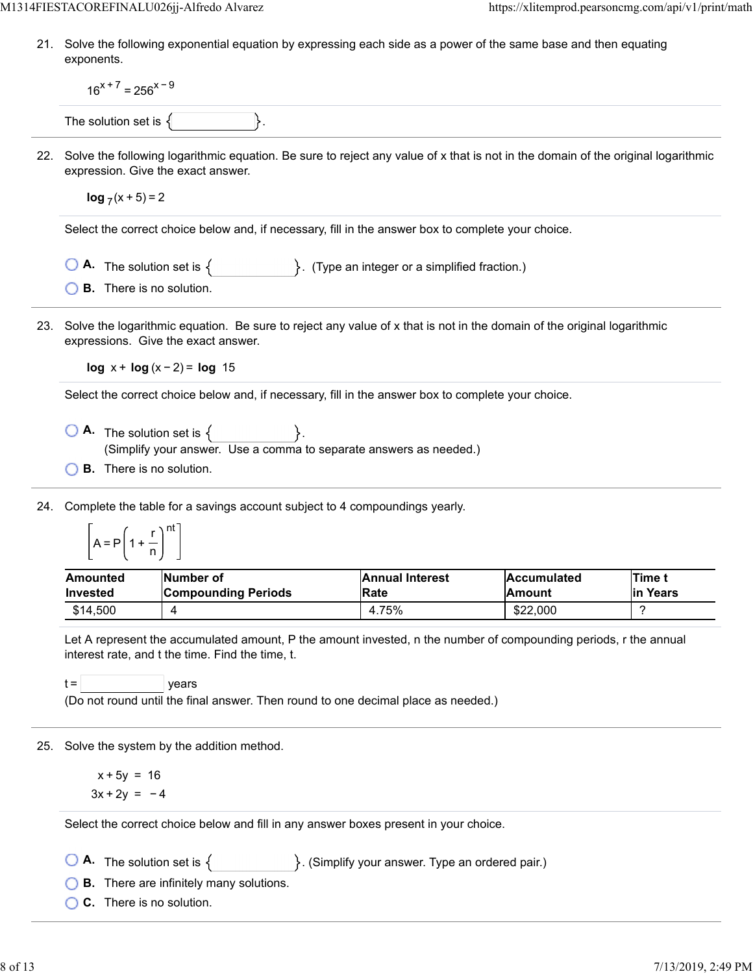21. Solve the following exponential equation by expressing each side as a power of the same base and then equating exponents.

|     | $16^{x+7}$ = 256 <sup>x-9</sup>          |                                                                                                                                                                                                                                                                    |                                |                              |                    |  |  |  |
|-----|------------------------------------------|--------------------------------------------------------------------------------------------------------------------------------------------------------------------------------------------------------------------------------------------------------------------|--------------------------------|------------------------------|--------------------|--|--|--|
|     | The solution set is $\{$                 |                                                                                                                                                                                                                                                                    |                                |                              |                    |  |  |  |
| 22. |                                          | Solve the following logarithmic equation. Be sure to reject any value of x that is not in the domain of the original logarithmic<br>expression. Give the exact answer.                                                                                             |                                |                              |                    |  |  |  |
|     | $\log_7(x+5) = 2$                        |                                                                                                                                                                                                                                                                    |                                |                              |                    |  |  |  |
|     |                                          | Select the correct choice below and, if necessary, fill in the answer box to complete your choice.                                                                                                                                                                 |                                |                              |                    |  |  |  |
|     |                                          | <b>A.</b> The solution set is $\{$ $\}$ . (Type an integer or a simplified fraction.)                                                                                                                                                                              |                                |                              |                    |  |  |  |
|     | <b>B.</b> There is no solution.          |                                                                                                                                                                                                                                                                    |                                |                              |                    |  |  |  |
| 23. |                                          | Solve the logarithmic equation. Be sure to reject any value of x that is not in the domain of the original logarithmic<br>expressions. Give the exact answer.                                                                                                      |                                |                              |                    |  |  |  |
|     |                                          | $log x + log(x-2) = log 15$                                                                                                                                                                                                                                        |                                |                              |                    |  |  |  |
|     |                                          | Select the correct choice below and, if necessary, fill in the answer box to complete your choice.                                                                                                                                                                 |                                |                              |                    |  |  |  |
|     | <b>B.</b> There is no solution.          | $\bigcirc$ <b>A</b> . The solution set is $\{\_ \}$ .<br>(Simplify your answer. Use a comma to separate answers as needed.)                                                                                                                                        |                                |                              |                    |  |  |  |
| 24. | $A = P\left(1 + \frac{r}{n}\right)^{nt}$ | Complete the table for a savings account subject to 4 compoundings yearly.                                                                                                                                                                                         |                                |                              |                    |  |  |  |
|     | Amounted<br><b>Invested</b>              | <b>Number of</b><br><b>Compounding Periods</b>                                                                                                                                                                                                                     | <b>Annual Interest</b><br>Rate | <b>Accumulated</b><br>Amount | Time t<br>in Years |  |  |  |
|     | \$14,500                                 | 4                                                                                                                                                                                                                                                                  | 4.75%                          | \$22,000                     | ?                  |  |  |  |
|     | $t =$                                    | Let A represent the accumulated amount, P the amount invested, n the number of compounding periods, r the annual<br>interest rate, and t the time. Find the time, t.<br>years<br>(Do not round until the final answer. Then round to one decimal place as needed.) |                                |                              |                    |  |  |  |
| 25. |                                          | Solve the system by the addition method.                                                                                                                                                                                                                           |                                |                              |                    |  |  |  |
|     | $x + 5y = 16$<br>$3x + 2y = -4$          |                                                                                                                                                                                                                                                                    |                                |                              |                    |  |  |  |
|     |                                          | Select the correct choice below and fill in any answer boxes present in your choice.                                                                                                                                                                               |                                |                              |                    |  |  |  |
|     | C. There is no solution.                 | <b>A.</b> The solution set is $\{$ $\}$ . (Simplify your answer. Type an ordered pair.)<br><b>B.</b> There are infinitely many solutions.                                                                                                                          |                                |                              |                    |  |  |  |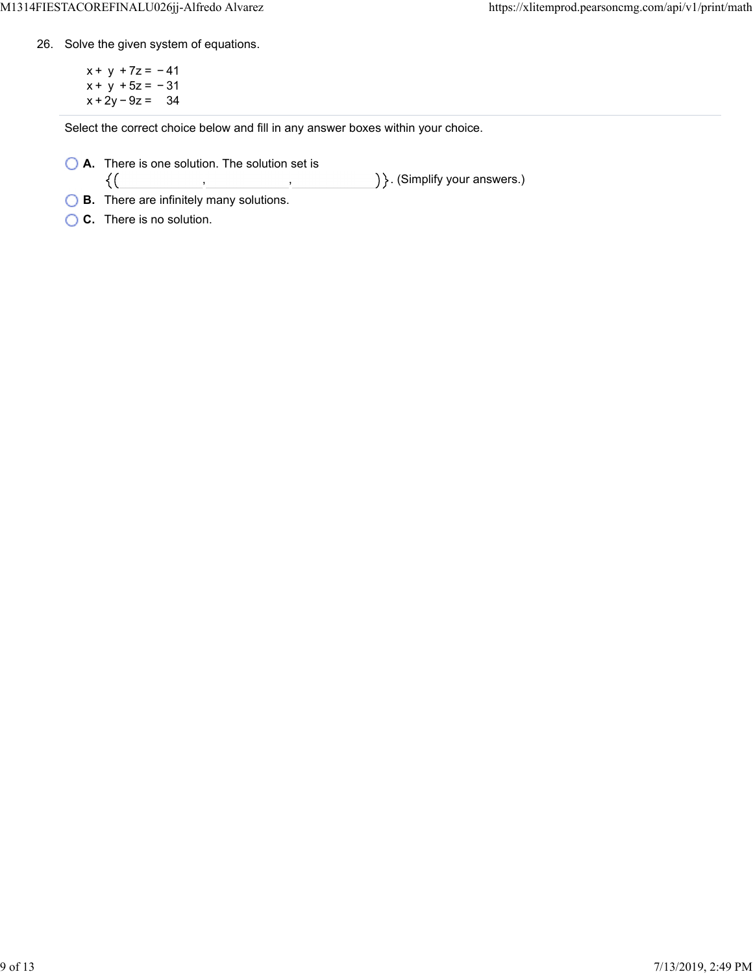26. Solve the given system of equations.

 $x + y + 7z = -41$ x + y + 5z = − 31 x + 2y − 9z = 34

Select the correct choice below and fill in any answer boxes within your choice.

, ,

**A.** There is one solution. The solution set is  $\{(\}$ 

) }. (Simplify your answers.)

- **B.** There are infinitely many solutions.
- **C.** There is no solution.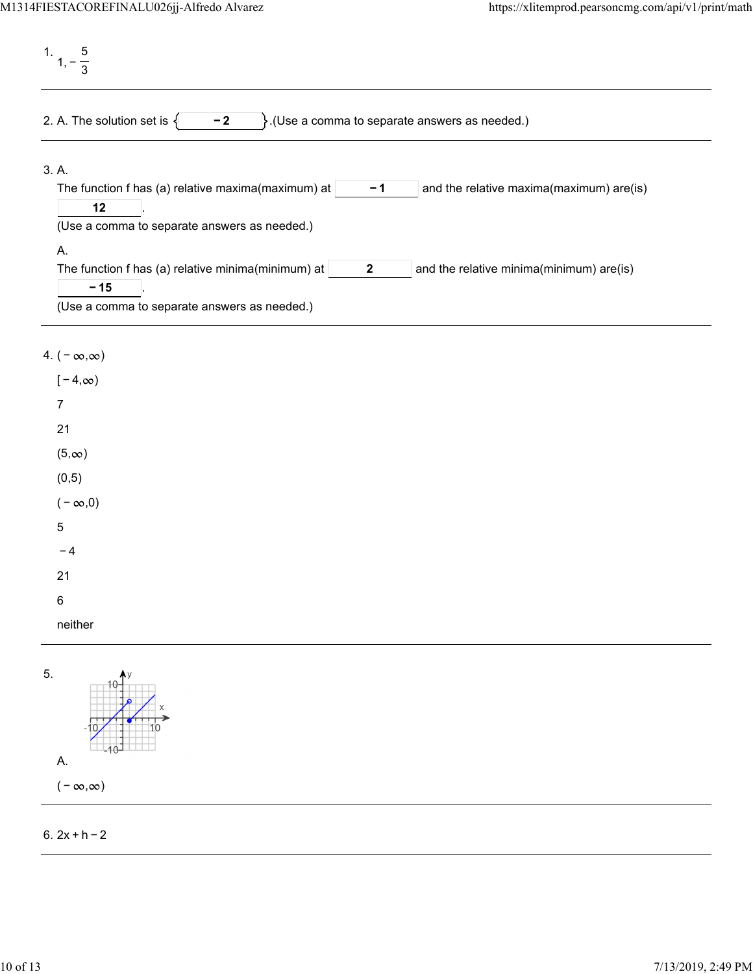1. 1, − 5 3 2. A. The solution set is  $\begin{cases} \begin{matrix} -2 \\ \end{matrix} \end{cases}$ . (Use a comma to separate answers as needed.) 3. A. The function f has (a) relative maxima(maximum) at  $\vert$  -1  $\vert$  and the relative maxima(maximum) are(is) . **− 1 12** (Use a comma to separate answers as needed.) A. The function f has (a) relative minima(minimum) at  $\vert$  2  $\vert$  and the relative minima(minimum) are(is) . **2 − 15** (Use a comma to separate answers as needed.)

## 4.  $(-\infty, \infty)$

| $[-4, \infty)$ |
|----------------|
| $\overline{7}$ |
| 21             |
| $(5, \infty)$  |
| (0, 5)         |
| $(-\infty,0)$  |
| 5              |
| - 4            |
| 21             |
| 6              |
| neither        |
|                |



## 6. 2x + h − 2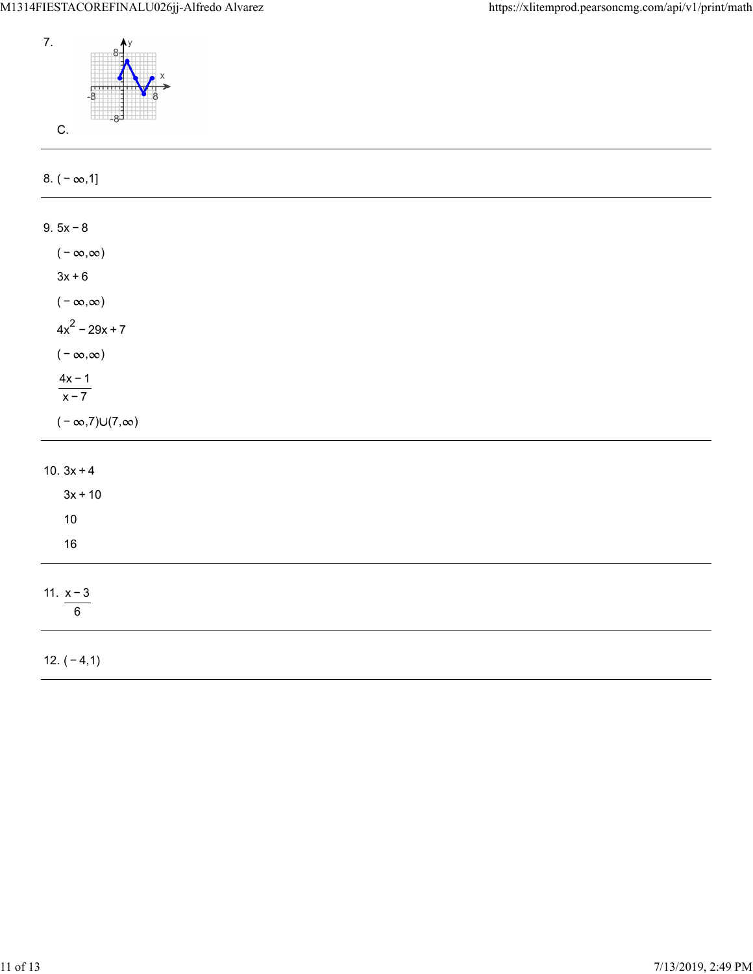

| 8. $(-\infty, 1]$           |  |  |
|-----------------------------|--|--|
| $9.5x - 8$                  |  |  |
|                             |  |  |
| $(-\infty,\infty)$          |  |  |
| $3x + 6$                    |  |  |
| ( – $\infty,\infty)$        |  |  |
| $4x^2 - 29x + 7$            |  |  |
| ( – $\infty, \infty)$       |  |  |
| $\frac{4x-1}{x-7}$          |  |  |
|                             |  |  |
| $(-\infty,7)\cup(7,\infty)$ |  |  |
|                             |  |  |
| 10. $3x + 4$                |  |  |
| $3x + 10$                   |  |  |
| $10$                        |  |  |
| $16\,$                      |  |  |
|                             |  |  |
| 11. $x - 3$                 |  |  |
| $\,6\,$                     |  |  |
|                             |  |  |
| 12. $(-4,1)$                |  |  |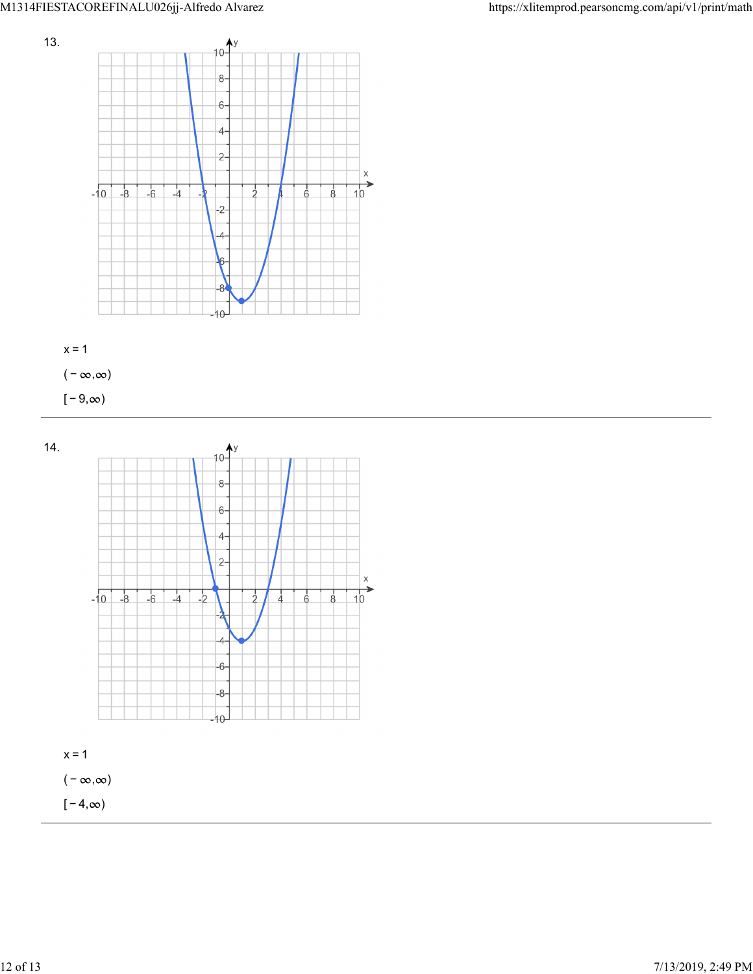



( –  $\infty, \infty$ )

 $[-9, \infty)$